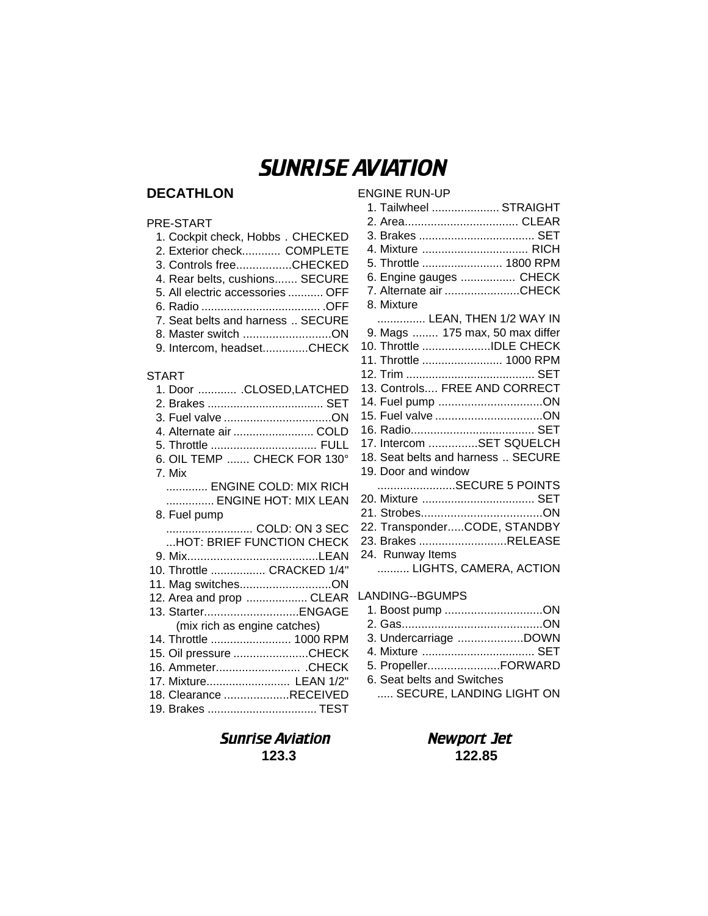# SUNRISE AVIATION

ENGINE RUN-UP

# **DECATHLON**

## PRE-START

| 1. Cockpit check, Hobbs. CHECKED  |
|-----------------------------------|
| 2. Exterior check COMPLETE        |
| 3. Controls freeCHECKED           |
| 4. Rear belts, cushions SECURE    |
| 5. All electric accessories  OFF  |
|                                   |
| 7. Seat belts and harness  SECURE |
| 8. Master switch ON               |
| 9. Intercom, headsetCHECK         |

### START

| 1. Door  .CLOSED,LATCHED     |
|------------------------------|
|                              |
|                              |
| 4. Alternate air  COLD       |
| 5. Throttle  FULL            |
| 6. OIL TEMP  CHECK FOR 130°  |
|                              |
| 7. Mix                       |
| ENGINE COLD: MIX RICH        |
| ENGINE HOT: MIX LEAN         |
| 8. Fuel pump                 |
| COLD: ON 3 SEC               |
| HOT: BRIEF FUNCTION CHECK    |
|                              |
| 10. Throttle  CRACKED 1/4"   |
| 11. Mag switchesON           |
| 12. Area and prop  CLEAR     |
| 13. StarterENGAGE            |
|                              |
| (mix rich as engine catches) |
| 14. Throttle  1000 RPM       |
| 15. Oil pressure CHECK       |
| 16. Ammeter CHECK            |
| 17. Mixture LEAN 1/2"        |
| 18. Clearance RECEIVED       |
| 19. Brakes  TEST             |
|                              |

| 1. Tailwheel  STRAIGHT             |
|------------------------------------|
|                                    |
|                                    |
| 4. Mixture  RICH                   |
| 5. Throttle  1800 RPM              |
| 6. Engine gauges  CHECK            |
| 7. Alternate air CHECK             |
| 8. Mixture                         |
| LEAN, THEN 1/2 WAY IN              |
| 9. Mags  175 max, 50 max differ    |
| 10. Throttle IDLE CHECK            |
| 11. Throttle  1000 RPM             |
|                                    |
| 13. Controls FREE AND CORRECT      |
| 14. Fuel pump ON                   |
|                                    |
|                                    |
| 17. Intercom SET SQUELCH           |
| 18. Seat belts and harness  SECURE |
| 19. Door and window                |
|                                    |
| 20. Mixture  SET                   |
|                                    |
| 22. TransponderCODE, STANDBY       |
| 23. Brakes RELEASE                 |
| 24. Runway Items                   |
| LIGHTS, CAMERA, ACTION             |
|                                    |
| <b>LANDING--BGUMPS</b>             |
| 1. Boost pump ON                   |

| 3. Undercarriage DOWN      |                          |
|----------------------------|--------------------------|
| 4. Mixture  SET            |                          |
| 5. PropellerFORWARD        |                          |
| 6. Seat belts and Switches |                          |
|                            | SECURE, LANDING LIGHT ON |

# Sunrise Aviation Newport Jet **123.3 122.85**